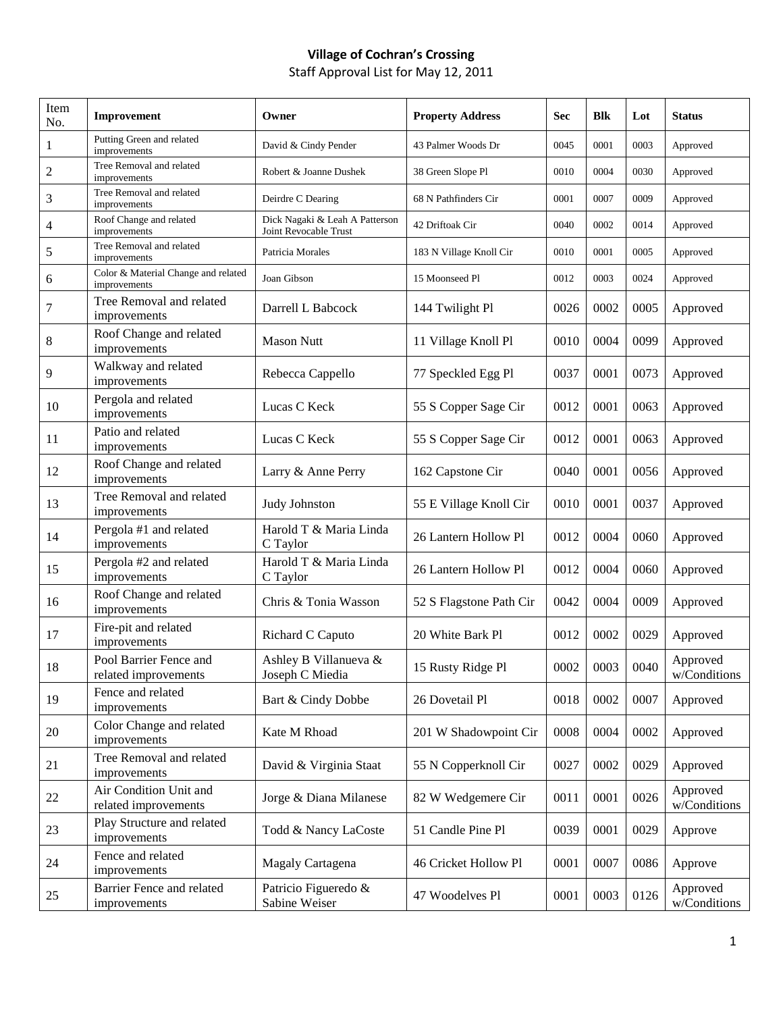## **Village of Cochran's Crossing**

Staff Approval List for May 12, 2011

| Item<br>No.    | Improvement                                         | Owner                                                   | <b>Property Address</b> | <b>Sec</b> | <b>Blk</b> | Lot  | <b>Status</b>            |
|----------------|-----------------------------------------------------|---------------------------------------------------------|-------------------------|------------|------------|------|--------------------------|
| $\mathbf{1}$   | Putting Green and related<br>improvements           | David & Cindy Pender                                    | 43 Palmer Woods Dr      | 0045       | 0001       | 0003 | Approved                 |
| $\overline{c}$ | Tree Removal and related<br>improvements            | Robert & Joanne Dushek                                  | 38 Green Slope Pl       | 0010       | 0004       | 0030 | Approved                 |
| 3              | Tree Removal and related<br>improvements            | Deirdre C Dearing                                       | 68 N Pathfinders Cir    | 0001       | 0007       | 0009 | Approved                 |
| 4              | Roof Change and related<br>improvements             | Dick Nagaki & Leah A Patterson<br>Joint Revocable Trust | 42 Driftoak Cir         | 0040       | 0002       | 0014 | Approved                 |
| 5              | Tree Removal and related<br>improvements            | Patricia Morales                                        | 183 N Village Knoll Cir | 0010       | 0001       | 0005 | Approved                 |
| 6              | Color & Material Change and related<br>improvements | Joan Gibson                                             | 15 Moonseed Pl          | 0012       | 0003       | 0024 | Approved                 |
| 7              | Tree Removal and related<br>improvements            | Darrell L Babcock                                       | 144 Twilight Pl         | 0026       | 0002       | 0005 | Approved                 |
| $8\,$          | Roof Change and related<br>improvements             | <b>Mason Nutt</b>                                       | 11 Village Knoll Pl     | 0010       | 0004       | 0099 | Approved                 |
| 9              | Walkway and related<br>improvements                 | Rebecca Cappello                                        | 77 Speckled Egg Pl      | 0037       | 0001       | 0073 | Approved                 |
| 10             | Pergola and related<br>improvements                 | Lucas C Keck                                            | 55 S Copper Sage Cir    | 0012       | 0001       | 0063 | Approved                 |
| 11             | Patio and related<br>improvements                   | Lucas C Keck                                            | 55 S Copper Sage Cir    | 0012       | 0001       | 0063 | Approved                 |
| 12             | Roof Change and related<br>improvements             | Larry & Anne Perry                                      | 162 Capstone Cir        | 0040       | 0001       | 0056 | Approved                 |
| 13             | Tree Removal and related<br>improvements            | Judy Johnston                                           | 55 E Village Knoll Cir  | 0010       | 0001       | 0037 | Approved                 |
| 14             | Pergola #1 and related<br>improvements              | Harold T & Maria Linda<br>C Taylor                      | 26 Lantern Hollow Pl    | 0012       | 0004       | 0060 | Approved                 |
| 15             | Pergola #2 and related<br>improvements              | Harold T & Maria Linda<br>C Taylor                      | 26 Lantern Hollow Pl    | 0012       | 0004       | 0060 | Approved                 |
| 16             | Roof Change and related<br>improvements             | Chris & Tonia Wasson                                    | 52 S Flagstone Path Cir | 0042       | 0004       | 0009 | Approved                 |
| 17             | Fire-pit and related<br>improvements                | Richard C Caputo                                        | 20 White Bark Pl        | 0012       | 0002       | 0029 | Approved                 |
| 18             | Pool Barrier Fence and<br>related improvements      | Ashley B Villanueva &<br>Joseph C Miedia                | 15 Rusty Ridge Pl       | 0002       | 0003       | 0040 | Approved<br>w/Conditions |
| 19             | Fence and related<br>improvements                   | Bart & Cindy Dobbe                                      | 26 Dovetail Pl          | 0018       | 0002       | 0007 | Approved                 |
| 20             | Color Change and related<br>improvements            | Kate M Rhoad                                            | 201 W Shadowpoint Cir   | 0008       | 0004       | 0002 | Approved                 |
| 21             | Tree Removal and related<br>improvements            | David & Virginia Staat                                  | 55 N Copperknoll Cir    | 0027       | 0002       | 0029 | Approved                 |
| 22             | Air Condition Unit and<br>related improvements      | Jorge & Diana Milanese                                  | 82 W Wedgemere Cir      | 0011       | 0001       | 0026 | Approved<br>w/Conditions |
| 23             | Play Structure and related<br>improvements          | Todd & Nancy LaCoste                                    | 51 Candle Pine Pl       | 0039       | 0001       | 0029 | Approve                  |
| 24             | Fence and related<br>improvements                   | Magaly Cartagena                                        | 46 Cricket Hollow Pl    | 0001       | 0007       | 0086 | Approve                  |
| 25             | Barrier Fence and related<br>improvements           | Patricio Figueredo &<br>Sabine Weiser                   | 47 Woodelves Pl         | 0001       | 0003       | 0126 | Approved<br>w/Conditions |